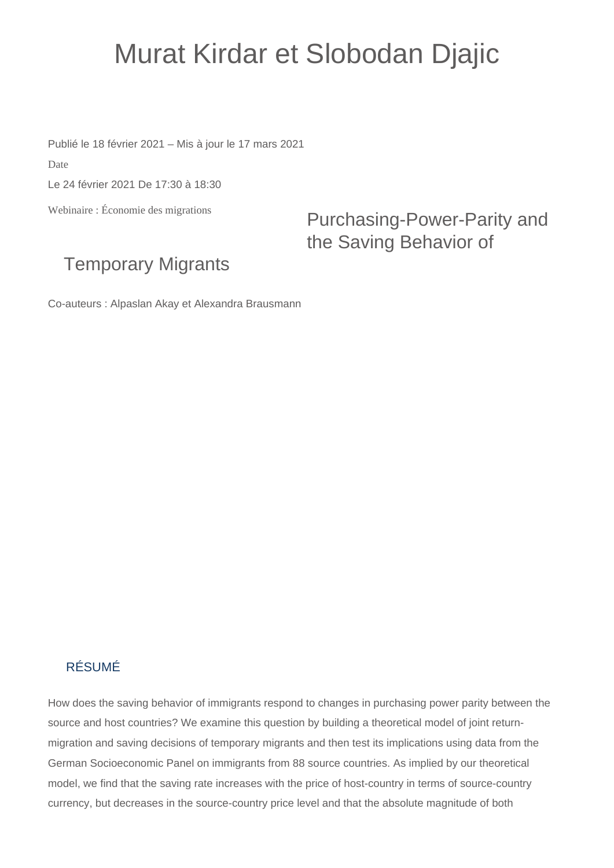## Murat Kirdar et Slobodan Djajic

Publié le 18 février 2021 – Mis à jour le 17 mars 2021

Date

Le 24 février 2021 De 17:30 à 18:30

Webinaire : Économie des migrations

Purchasing-Power-Parity and the Saving Behavior of

## Temporary Migrants

Co-auteurs : Alpaslan Akay et Alexandra Brausmann

## RÉSUMÉ

How does the saving behavior of immigrants respond to changes in purchasing power parity between the source and host countries? We examine this question by building a theoretical model of joint returnmigration and saving decisions of temporary migrants and then test its implications using data from the German Socioeconomic Panel on immigrants from 88 source countries. As implied by our theoretical model, we find that the saving rate increases with the price of host-country in terms of source-country currency, but decreases in the source-country price level and that the absolute magnitude of both